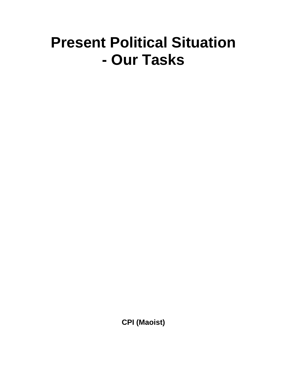## **Present Political Situation - Our Tasks**

**CPI (Maoist)**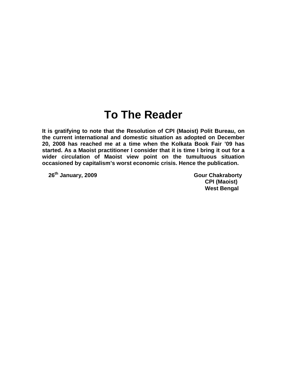## **To The Reader**

**It is gratifying to note that the Resolution of CPI (Maoist) Polit Bureau, on the current international and domestic situation as adopted on December 20, 2008 has reached me at a time when the Kolkata Book Fair '09 has started. As a Maoist practitioner I consider that it is time I bring it out for a wider circulation of Maoist view point on the tumultuous situation occasioned by capitalism's worst economic crisis. Hence the publication.**

**26th January, 2009 Gour Chakraborty**

**CPI (Maoist) West Bengal**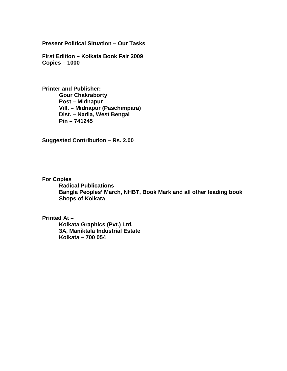**Present Political Situation – Our Tasks**

**First Edition – Kolkata Book Fair 2009 Copies – 1000**

**Printer and Publisher: Gour Chakraborty Post – Midnapur Vill. – Midnapur (Paschimpara) Dist. – Nadia, West Bengal Pin – 741245**

**Suggested Contribution – Rs. 2.00**

**For Copies**

**Radical Publications Bangla Peoples' March, NHBT, Book Mark and all other leading book Shops of Kolkata**

**Printed At –**

**Kolkata Graphics (Pvt.) Ltd. 3A, Maniktala Industrial Estate Kolkata – 700 054**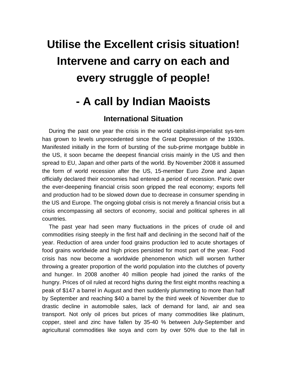# **Utilise the Excellent crisis situation! Intervene and carry on each and every struggle of people!**

### **- A call by Indian Maoists**

### **International Situation**

During the past one year the crisis in the world capitalist-imperialist sys-tem has grown to levels unprecedented since the Great Depression of the 1930s. Manifested initially in the form of bursting of the sub-prime mortgage bubble in the US, it soon became the deepest financial crisis mainly in the US and then spread to EU, Japan and other parts of the world. By November 2008 it assumed the form of world recession after the US, 15-member Euro Zone and Japan officially declared their economies had entered a period of recession. Panic over the ever-deepening financial crisis soon gripped the real economy; exports fell and production had to be slowed down due to decrease in consumer spending in the US and Europe. The ongoing global crisis is not merely a financial crisis but a crisis encompassing all sectors of economy, social and political spheres in all countries.

The past year had seen many fluctuations in the prices of crude oil and commodities rising steeply in the first half and declining in the second half of the year. Reduction of area under food grains production led to acute shortages of food grains worldwide and high prices persisted for most part of the year. Food crisis has now become a worldwide phenomenon which will worsen further throwing a greater proportion of the world population into the clutches of poverty and hunger. In 2008 another 40 million people had joined the ranks of the hungry. Prices of oil ruled at record highs during the first eight months reaching a peak of \$147 a barrel in August and then suddenly plummeting to more than half by September and reaching \$40 a barrel by the third week of November due to drastic decline in automobile sales, lack of demand for land, air and sea transport. Not only oil prices but prices of many commodities like platinum, copper, steel and zinc have fallen by 35-40 % between July-September and agricultural commodities like soya and corn by over 50% due to the fall in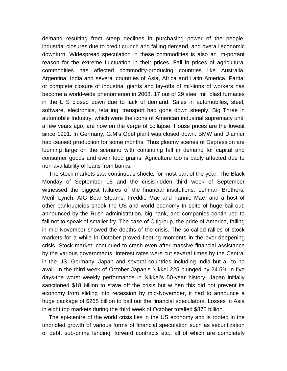demand resulting from steep declines in purchasing power of the people, industrial closures due to credit crunch and falling demand, and overall economic downturn. Widespread speculation in these commodities is also an im-portant reason for the extreme fluctuation in their prices. Fall in prices of agricultural commodities has affected commodity-producing countries like Australia, Argentina, India and several countries of Asia, Africa and Latin America. Partial or complete closure of industrial giants and lay-offs of mil-lions of workers has become a world-wide phenomenon in 2008. 17 out of 29 steel mill blast furnaces in the L S closed down due to lack of demand. Sales in automobiles, steel, software, electronics, retailing, transport had gone down steeply. Big Three in automobile Industry, which were the icons of American industrial supremacy until a few years ago, are now on the verge of collapse. House prices are the lowest since 1991. In Germany, G.M's Opel plant was closed down. BMW and Diamler had ceased production for some months. Thus gloomy scenes of Depression are looming large on the scenario with continuing fall in demand for capital and consumer goods and even food grains. Agriculture too is badly affected due to non-availability of loans from banks.

The stock markets saw continuous shocks for most part of the year. The Black Monday of September 15 and the crisis-ridden third week of September witnessed the biggest failures of the financial institutions. Lehman Brothers, Merill Lynch. AIG Bear Stearns, Freddie Mac and Fannie Mae, and a host of other bankruptcies shook the US and world economy In spite of huge bail-out; announced by the Rush administration, big hank, and companies contin-ued to fail not to speak of smaller fry. The case of Citigroup, the pride of America, failing in mid-November showed the depths of the crisis. The so-called rallies of stock markets for a while in October proved fleeting moments in the ever-deepening crisis. Stock market: continued to crash even after massive financial assistance by the various governments. Interest rates were cut several times by the Central in the US, Germany, Japan and several countries including India but all to no avail. In the third week of October Japan's Nikkei 225 plunged by 24.5% in five days-the worst weekly performance in Nikkei's 50-year history. Japan initially sanctioned \$18 billion to stave off the crisis but w hen this did not prevent its economy from sliding into recession by mid-November, it had to announce a huge package of \$265 billion to bail out the financial speculators. Losses in Asia in eight top markets during the third week of October totalled \$870 billion.

The epi-centre of the world crisis lies in the US economy and is rooted in the unbridled growth of various forms of financial speculation such as securitization of debt, sub-prime lending, forward contracts etc., all of which are completely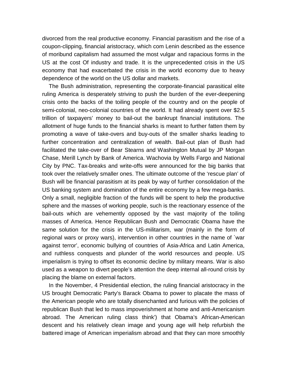divorced from the real productive economy. Financial parasitism and the rise of a coupon-clipping, financial aristocracy, which com Lenin described as the essence of moribund capitalism had assumed the most vulgar and rapacious forms in the US at the cost Of industry and trade. It is the unprecedented crisis in the US economy that had exacerbated the crisis in the world economy due to heavy dependence of the world on the US dollar and markets.

The Bush administration, representing the corporate-financial parasitical elite ruling America is desperately striving to push the burden of the ever-deepening crisis onto the backs of the toiling people of the country and on the people of semi-colonial, neo-colonial countries of the world. It had already spent over \$2.5 trillion of taxpayers' money to bail-out the bankrupt financial institutions. The allotment of huge funds to the financial sharks is meant to further fatten them by promoting a wave of take-overs and buy-outs of the smaller sharks leading to further concentration and centralization of wealth. Bail-out plan of Bush had facilitated the take-over of Bear Stearns and Washington Mutual by JP Morgan Chase, Merill Lynch by Bank of America. Wachovia by Wells Fargo and National City by PNC. Tax-breaks and write-offs were announced for the big banks that took over the relatively smaller ones. The ultimate outcome of the 'rescue plan' of Bush will be financial parasitism at its peak by way of further consolidation of the US banking system and domination of the entire economy by a few mega-banks. Only a small, negligible fraction of the funds will be spent to help the productive sphere and the masses of working people, such is the reactionary essence of the bail-outs which are vehemently opposed by the vast majority of the toiling masses of America. Hence Republican Bush and Democratic Obama have the same solution for the crisis in the US-militarism, war (mainly in the form of regional wars or proxy wars), intervention in other countries in the name of `war against terror', economic bullying of countries of Asia-Africa and Latin America, and ruthless conquests and plunder of the world resources and people. US imperialism is trying to offset its economic decline by military means. War is also used as a weapon to divert people's attention the deep internal all-round crisis by placing the blame on external factors.

In the November, 4 Presidential election, the ruling financial aristocracy in the US brought Democratic Party's Barack Obama to power to placate the mass of the American people who are totally disenchanted and furious with the policies of republican Bush that led to mass impoverishment at home and anti-Americanism abroad. The American ruling class think') that Obama's African-American descent and his relatively clean image and young age will help refurbish the battered image of American imperialism abroad and that they can more smoothly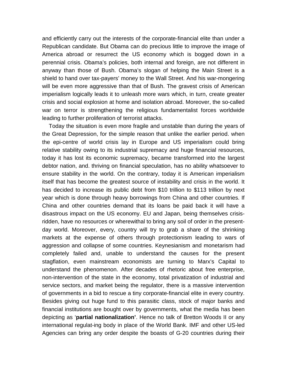and efficiently carry out the interests of the corporate-financial elite than under a Republican candidate. But Obama can do precious little to improve the image of America abroad or resurrect the US economy which is bogged down in a perennial crisis. Obama's policies, both internal and foreign, are not different in anyway than those of Bush. Obama's slogan of helping the Main Street is a shield to hand over tax-payers' money to the Wall Street. And his war-mongering will be even more aggressive than that of Bush. The gravest crisis of American imperialism logically leads it to unleash more wars which, in turn, create greater crisis and social explosion at home and isolation abroad. Moreover, the so-called war on terror is strengthening the religious fundamentalist forces worldwide leading to further proliferation of terrorist attacks.

Today the situation is even more fragile and unstable than during the years of the Great Depression, for the simple reason that unlike the earlier period. when the epi-centre of world crisis lay in Europe and US imperialism could bring relative stability owing to its industrial supremacy and huge financial resources, today it has lost its economic supremacy, became transformed into the largest debtor nation, and. thriving on financial speculation, has no ability whatsoever to ensure stability in the world. On the contrary, today it is American imperialism itself that has become the greatest source of instability and crisis in the world. It has decided to increase its public debt from \$10 trillion to \$113 trillion by next year which is done through heavy borrowings from China and other countries. If China and other countries demand that its loans be paid back it will have a disastrous impact on the US economy. EU and Japan, being themselves crisisridden, have no resources or wherewithal to bring any soil of order in the presentday world. Moreover, every, country will try to grab a share of the shrinking markets at the expense of others through protectionism leading to wars of aggression and collapse of some countries. Keynesianism and monetarism had completely failed and, unable to understand the causes for the present stagflation, even mainstream economists are turning to Marx's Capital to understand the phenomenon. After decades of rhetoric about free enterprise, non-intervention of the state in the economy, total privatization of industrial and service sectors, and market being the regulator, there is a massive intervention of governments in a bid to rescue a tiny corporate-financial elite in every country. Besides giving out huge fund to this parasitic class, stock of major banks and financial institutions are bought over by governments, what the media has been depicting as '**partial nationalization'**. Hence no talk of Bretton Woods II or any international regulat-ing body in place of the World Bank. IMF and other US-led Agencies can bring any order despite the boasts of G-20 countries during their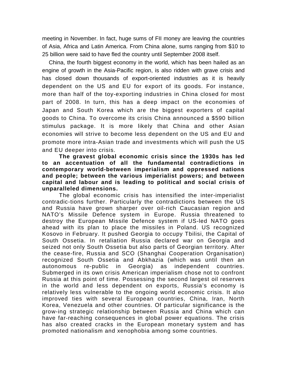meeting in November. In fact, huge sums of FII money are leaving the countries of Asia, Africa and Latin America. From China alone, sums ranging from \$10 to 25 billion were said to have fled the country until September 2008 itself.

China, the fourth biggest economy in the world, which has been hailed as an engine of growth in the Asia-Pacific region, is also ridden with grave crisis and has closed down thousands of export-oriented industries as it is heavily dependent on the US and EU for export of its goods. For instance, more than half of the toy-exporting industries in China closed for most part of 2008. In turn, this has a deep impact on the economies of Japan and South Korea which are the biggest exporters of capital goods to China. To overcome its crisis China announced a \$590 billion stimulus package. It is more likely that China and other Asian economies will strive to become less dependent on the US and EU and promote more intra-Asian trade and investments which will push the US and EU deeper into crisis.

**The gravest global economic crisis since the 1930s has led to an accentuation of all the fundamental contradictions in contemporary world-between imperialism and oppressed nations and people; between the various imperialist powers; and between capital and labour and is leading to political and social crisis of unparalleled dimensions.**

The global economic crisis has intensified the inter-imperialist contradic-tions further. Particularly the contradictions between the US and Russia have grown sharper over oil-rich Caucasian region and NATO's Missile Defence system in Europe. Russia threatened to destroy the European Missile Defence system if US-led NATO goes ahead with its plan to place the missiles in Poland. US recognized Kosovo in February. It pushed Georgia to occupy Tbilisi, the Capital of South Ossetia. In retaliation Russia declared war on Georgia and seized not only South Ossetia but also parts of Georgian territory. After the cease-fire, Russia and SCO (Shanghai Cooperation Organisation) recognized South Ossetia and Abkhazia (which was until then an autonomous re-public in Georgia) as independent countries. Submerged in its own crisis American imperialism chose not to confront Russia at this point of time. Possessing the second largest oil reserves in the world and less dependent on exports, Russia's economy is relatively less vulnerable to the ongoing world economic crisis. It also improved ties with several European countries, China, Iran, North Korea, Venezuela and other countries. Of particular significance is the grow-ing strategic relationship between Russia and China which can have far-reaching consequences in global power equations. The crisis has also created cracks in the European monetary system and has promoted nationalism and xenophobia among some countries.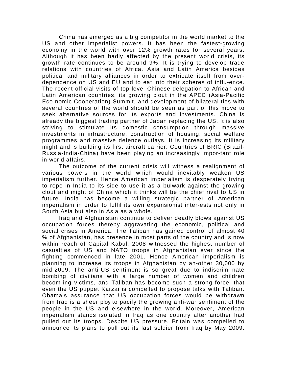China has emerged as a big competitor in the world market to the US and other imperialist powers. It has been the fastest-growing economy in the world with over 12% growth rates for several years. Although it has been badly affected by the present world crisis, its growth rate continues to be around 9%. It is trying to develop trade relations with countries of Africa. Asia and Latin America besides political and military alliances in order to extricate itself from overdependence on US and EU and to eat into their spheres of influ-ence. The recent official visits of top-level Chinese delegation to African and Latin American countries, its growing clout in the APEC (Asia-Pacific Eco-nomic Cooperation) Summit, and development of bilateral ties with several countries of the world should be seen as part of this move to seek alternative sources for its exports and investments. China is already the biggest trading partner of Japan replacing the US. It is also striving to stimulate its domestic consumption through massive investments in infrastructure, construction of housing, social welfare programmes and massive defence outlays. It is increasing its military might and is building its first aircraft carrier. Countries of BRIC (Brazil-Russia-India-China) have been playing an increasingly impor-tant role in world affairs.

The outcome of the current crisis will witness a realignment of various powers in the world which would inevitably weaken US imperialism further. Hence American imperialism is desperately trying to rope in India to its side to use it as a bulwark against the growing clout and might of China which it thinks will be the chief rival to US in future. India has become a willing strategic partner of American imperialism in order to fulfil its own expansionist inter-ests not only in South Asia but also in Asia as a whole.

Iraq and Afghanistan continue to deliver deadly blows against US occupation forces thereby aggravating the economic, political and social crises in America. The Taliban has gained control of almost 40 % of Afghanistan, has presence in most parts of the country and is now within reach of Capital Kabul. 2008 witnessed the highest number of casualties of US and NATO troops in Afghanistan ever since the fighting commenced in late 2001. Hence American imperialism is planning to increase its troops in Afghanistan by an-other 30,000 by mid-2009. The anti-US sentiment is so great due to indiscrimi-nate bombing of civilians with a large number of women and children becom-ing victims, and Taliban has become such a strong force. that even the US puppet Karzai is compelled to propose talks with Taliban. Obama's assurance that US occupation forces would be withdrawn from Iraq is a sheer ploy to pacify the growing anti-war sentiment of the people in the US and elsewhere in the world. Moreover, American imperialism stands isolated in Iraq as one country after another had pulled out its troops. Despite US pressure. Britain was compelled to announce its plans to pull out its last soldier from Iraq by May 2009.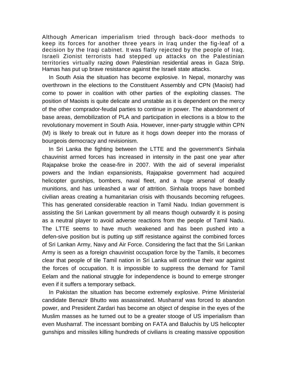Although American imperialism tried through back-door methods to keep its forces for another three years in Iraq under the fig-leaf of a decision by the Iraqi cabinet. It was flatly rejected by the people of Iraq. Israeli Zionist terrorists had stepped up attacks on the Palestinian territories virtually razing down Palestinian residential areas in Gaza Strip. Hamas has put up brave resistance against the Israeli state attacks.

In South Asia the situation has become explosive. In Nepal, monarchy was overthrown in the elections to the Constituent Assembly and CPN (Maoist) had come to power in coalition with other parties of the exploiting classes. The position of Maoists is quite delicate and unstable as it is dependent on the mercy of the other comprador-feudal parties to continue in power. The abandonment of base areas, demobilization of PLA and participation in elections is a blow to the revolutionary movement in South Asia. However, inner-party struggle within CPN (M) is likely to break out in future as it hogs down deeper into the morass of bourgeois democracy and revisionism.

In Sri Lanka the fighting between the LTTE and the government's Sinhala chauvinist armed forces has increased in intensity in the past one year after Rajapakse broke the cease-fire in 2007. With the aid of several imperialist powers and the Indian expansionists, Rajapakse government had acquired helicopter gunships, bombers, naval fleet, and a huge arsenal of deadly munitions, and has unleashed a war of attrition. Sinhala troops have bombed civilian areas creating a humanitarian crisis with thousands becoming refugees. This has generated considerable reaction in Tamil Nadu. Indian government is assisting the Sri Lankan government by all means though outwardly it is posing as a neutral player to avoid adverse reactions from the people of Tamil Nadu. The LTTE seems to have much weakened and has been pushed into a defen-sive position but is putting up stiff resistance against the combined forces of Sri Lankan Army, Navy and Air Force. Considering the fact that the Sri Lankan Army is seen as a foreign chauvinist occupation force by the Tamils, it becomes clear that people of tile Tamil nation in Sri Lanka will continue their war against the forces of occupation. It is impossible to suppress the demand for Tamil Eelam and the national struggle for independence is bound to emerge stronger even if it suffers a temporary setback.

In Pakistan the situation has become extremely explosive. Prime Ministerial candidate Benazir Bhutto was assassinated. Musharraf was forced to abandon power, and President Zardari has become an object of despise in the eyes of the Muslim masses as he turned out to be a greater stooge of US imperialism than even Musharraf. The incessant bombing on FATA and Baluchis by US helicopter gunships and missiles killing hundreds of civilians is creating massive opposition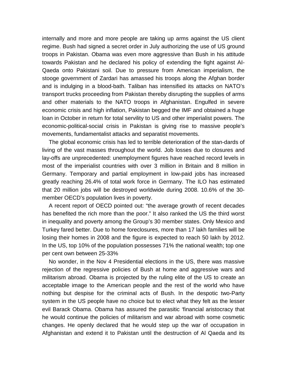internally and more and more people are taking up arms against the US client regime. Bush had signed a secret order in July authorizing the use of US ground troops in Pakistan. Obama was even more aggressive than Bush in his attitude towards Pakistan and he declared his policy of extending the fight against AI-Qaeda onto Pakistani soil. Due to pressure from American imperialism, the stooge government of Zardari has amassed his troops along the Afghan border and is indulging in a blood-bath. Taliban has intensified its attacks on NATO's transport trucks proceeding from Pakistan thereby disrupting the supplies of arms and other materials to the NATO troops in Afghanistan. Engulfed in severe economic crisis and high inflation, Pakistan begged the IMF and obtained a huge loan in October in return for total servility to US and other imperialist powers. The economic-political-social crisis in Pakistan is giving rise to massive people's movements, fundamentalist attacks and separatist movements.

The global economic crisis has led to terrible deterioration of the stan-dards of living of the vast masses throughout the world. Job losses due to closures and lay-offs are unprecedented: unemployment figures have reached record levels in most of the imperialist countries with over 3 million in Britain and 8 million in Germany. Temporary and partial employment in low-paid jobs has increased greatly reaching 26.4% of total work force in Germany. The ILO has estimated that 20 million jobs will be destroyed worldwide during 2008. 10.6% of the 30 member OECD's population lives in poverty.

A recent report of OECD pointed out: "the average growth of recent decades has benefited the rich more than the poor." It also ranked the US the third worst in inequality and poverty among the Group's 30 member states. Only Mexico and Turkey fared better. Due to home foreclosures, more than 17 lakh families will be losing their homes in 2008 and the figure is expected to reach 50 lakh by 2012. In the US, top 10% of the population possesses 71% the national wealth; top one per cent own between 25-33%

No wonder, in the Nov 4 Presidential elections in the US, there was massive rejection of the regressive policies of Bush at home and aggressive wars and militarism abroad. Obama is projected by the ruling elite of the US to create an acceptable image to the American people and the rest of the world who have nothing but despise for the criminal acts of Bush. In the despotic two-Party system in the US people have no choice but to elect what they felt as the lesser evil Barack Obama. Obama has assured the parasitic 'financial aristocracy that he would continue the policies of militarism and war abroad with some cosmetic changes. He openly declared that he would step up the war of occupation in Afghanistan and extend it to Pakistan until the destruction of Al Qaeda and its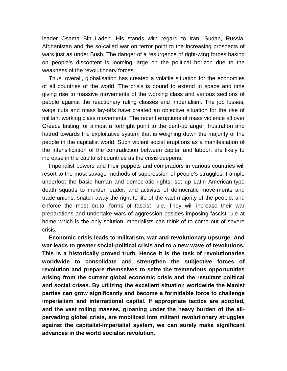leader Osama Bin Laden. His stands with regard to Iran, Sudan, Russia. Afghanistan and the so-called war on terror point to the increasing prospects of wars just as under Bush. The danger of a resurgence of right-wing forces basing on people's discontent is looming large on the political horizon due to the weakness of the revolutionary forces.

Thus, overall, globalisation has created a volatile situation for the economies of all countries of the world. The crisis is bound to extend in space and time giving rise to massive movements of the working class and various sections of people against the reactionary ruling classes and imperialism. The job losses, wage cuts and mass lay-offs have created an objective situation for the rise of militant working class movements. The recent eruptions of mass violence all over Greece lasting for almost a fortnight point to the pent-up anger, frustration and hatred towards the exploitative system that is weighing down the majority of the people in the capitalist world. Such violent social eruptions as a manifestation of the intensification of the contradiction between capital and labour, are likely to increase in the capitalist countries as the crisis deepens.

Imperialist powers and their puppets and compradors in various countries will resort to the most savage methods of suppression of people's struggles; trample underfoot the basic human and democratic rights; set up Latin American-type death squads to murder leader; and activists of democratic move-ments and trade unions; snatch away the right to life of the vast majority of the people; and enforce the most brutal forms of fascist rule. They will increase their war preparations and undertake wars of aggression besides imposing fascist rule at home which is the only solution imperialists can think of to come out of severe crisis.

**Economic crisis leads to militarism, war and revolutionary upsurge. And war leads to greater social-political crisis and to a new wave of revolutions. This is a historically proved truth. Hence it is the task of revolutionaries worldwide to consolidate and strengthen the subjective forces of revolution and prepare themselves to seize the tremendous opportunities arising from the current global economic crisis and the resultant political and social crises. By utilizing the excellent situation worldwide the Maoist parties can grow significantly and become a formidable force to challenge imperialism and international capital. If appropriate tactics are adopted, and the vast toiling masses, groaning under the heavy burden of the allpervading global crisis, are mobilized into militant revolutionary struggles against the capitalist-imperialist system, we can surely make significant advances in the world socialist revolution.**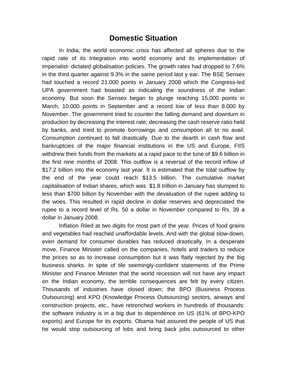### **Domestic Situation**

In India, the world economic crisis has affected all spheres due to the rapid rate of its Integration into world economy and its implementation of imperialist- dictated globalisation policies. The growth rates had dropped to 7.6% in the third quarter against 9.3% in the same period last y ear. The BSE Sensex had touched a record 21.000 points in January 2008 which the Congress-led UPA government had boasted as indicating the soundness of the Indian economy. But soon the Sensex began to plunge reaching 15,000 points in March, 10.000 points in September and a record low of less than 8.000 by November. The government tried to counter the falling demand and downturn in production by decreasing the interest rate; decreasing the cash reserve ratio held by banks, and tried to promote borrowings and consumption alI to no avail. Consumption continued to fall drastically. Due to the dearth in cash flow and bankruptcies of the major financial institutions in the US and Europe, FIIS withdrew their funds from the markets at a rapid pace to the tune of \$9.6 billion in the first nine months of 2008. This outflow is a reversal of the record inflow of \$17.2 billion into the economy last year. It is estimated that the total outflow by the end of the year could reach \$13.5 billion. The cumulative market capitalisation of Indian shares, which was \$1.8 trillion in January has slumped to less than \$700 billion by November with the devaluation of the rupee adding to the woes. This resulted in rapid decline in dollar reserves and depreciated the rupee to a record level of Rs. 50 a dollar in November compared to Rs. 39 a dollar in January 2008.

Inflation Riled at two digits for most part of the year. Prices of food grains and vegetables had reached unaffordable levels. And with the global slow-down, even demand for consumer durables has reduced drastically. In a desperate move, Finance Minister called on the companies, hotels and traders to reduce the prices so as to increase consumption but it was flatly rejected by the big business sharks. In spite of tile seemingly-confident statements of the Prime Minister and Finance Minister that the world recession will not have any impact on the Indian economy, the terrible consequences are felt by every citizen. Thousands of industries have closed down; the BPO (Business Process Outsourcing) and KPO (Knowledge Process Outsourcing) sectors, airways and construction projects, etc., have retrenched workers in hundreds of thousands: the software industry is in a big due to dependence on US (61% of BPO-KPO exports) and Europe for its exports. Obama had assured the people of US that he would stop outsourcing of lobs and bring back jobs outsourced to other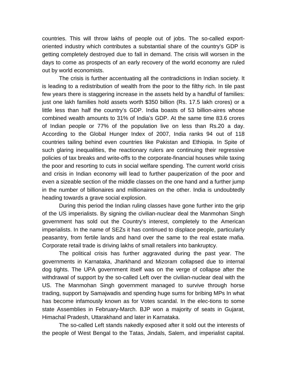countries. This will throw lakhs of people out of jobs. The so-called exportoriented industry which contributes a substantial share of the country's GDP is getting completely destroyed due to fall in demand. The crisis will worsen in the days to come as prospects of an early recovery of the world economy are ruled out by world economists.

The crisis is further accentuating all the contradictions in Indian society. It is leading to a redistribution of wealth from the poor to the filthy rich. In tile past few years there is staggering increase in the assets held by a handful of families: just one lakh families hold assets worth \$350 billion (Rs. 17.5 lakh crores) or a little less than half the country's GDP. India boasts of 53 billion-aires whose combined wealth amounts to 31% of India's GDP. At the same time 83.6 crores of Indian people or 77% of the population live on less than Rs.20 a day. According to the Global Hunger Index of 2007, India ranks 94 out of 118 countries tailing behind even countries like Pakistan and Ethiopia. In Spite of such glaring inequalities, the reactionary rulers are continuing their regressive policies of tax breaks and write-offs to the corporate-financial houses while taxing the poor and resorting to cuts in social welfare spending. The current world crisis and crisis in Indian economy will lead to further pauperization of the poor and even a sizeable section of the middle classes on the one hand and a further jump in the number of billionaires and millionaires on the other. India is undoubtedly heading towards a grave social explosion.

During this period the Indian ruling classes have gone further into the grip of the US imperialists. By signing the civilian-nuclear deal the Manmohan Singh government has sold out the Country's interest, completely to the American imperialists. In the name of SEZs it has continued to displace people, particularly peasantry, from fertile lands and hand over the same to the real estate mafia. Corporate retail trade is driving lakhs of small retailers into bankruptcy.

The political crisis has further aggravated during the past year. The governments in Karnataka, Jharkhand and Mizoram collapsed due to internal dog tights. The UPA government itself was on the verge of collapse after the withdrawal of support by the so-called Left over the civilian-nuclear deal with the US. The Manmohan Singh government managed to survive through horse trading, support by Samajwadis and spending huge sums for bribing MPs In what has become infamously known as for Votes scandal. In the elec-tions to some state Assemblies in February-March. BJP won a majority of seats in Gujarat, Himachal Pradesh, Uttarakhand and later in Karnataka.

The so-called Left stands nakedly exposed after it sold out the interests of the people of West Bengal to the Tatas, Jindals, Salem, and imperialist capital.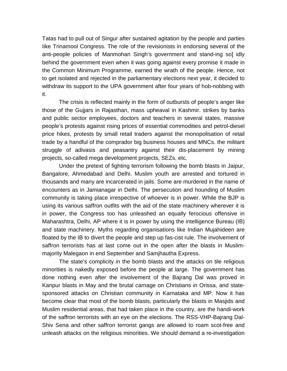Tatas had to pull out of Singur after sustained agitation by the people and parties Iike Trinamool Congress. The role of the revisionists in endorsing several of the anti-people policies of Manmohan Singh's government and stand-ing so] idly behind the government even when it was going against every promise it made in the Common Minimum Programme, earned the wrath of the people. Hence, not to get isolated and rejected in the parliamentary elections next year, it decided to withdraw its support to the UPA government after four years of hob-nobbing with it.

The crisis is reflected mainly in the form of outbursts of people's anger like those of the Gujjars in Rajasthan, mass upheaval in Kashmir. strikes by banks and public sector employees, doctors and teachers in several states, massive people's protests against rising prices of essential commodities and petrol-diesel price hikes, protests by small retail traders against the monopolisation of retail trade by a handful of the comprador big business houses and MNCs. the militant struggle of adivasis and peasantry against their dis-placement by mining projects, so-called mega development projects, SEZs, etc.

Under the pretext of fighting terrorism following the bomb blasts in Jaipur, Bangalore, Ahmedabad and Delhi. Muslim youth are arrested and tortured in thousands and many are incarcerated in jails. Some are murdered in the name of encounters as in Jamianagar in Delhi. The persecution and hounding of Muslim community is taking place irrespective of whoever is in power. While the BJP is using its various saffron outfits with the aid of the state machinery wherever it is in power, the Congress too has unleashed an equally ferocious offensive in Maharashtra, Delhi, AP where it is in power by using the intelligence Bureau (IB) and state machinery. Myths regarding organisations like Indian Mujahideen are floated by the IB to divert the people and step up fas-cist rule. The involvement of saffron terrorists has at last come out in the open after the blasts in Muslimmajority Malegaon in end September and Samjhautha Express.

The state's complicity in the bomb blasts and the attacks on tile religious minorities is nakedly exposed before the people at large. The government has done nothing even after the involvement of the Bajrang Dal was proved in Kanpur blasts in May and the brutal carnage on Christians in Orissa, and statesponsored attacks on Christian community in Karnataka and MP. Now it has become clear that most of the bomb blasts, particularly the blasts in Masjids and Muslim residential areas, that had taken place in the country, are the handi-work of the saffron terrorists with an eye on the elections. The RSS-VHP-Bajrang Dal-Shiv Sena and other saffron terrorist gangs are allowed to roam scot-free and unleash attacks on the religious minorities. We should demand a re-investigation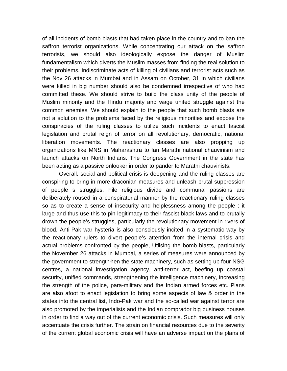of all incidents of bomb blasts that had taken place in the country and to ban the saffron terrorist organizations. While concentrating our attack on the saffron terrorists, we should also ideologically expose the danger of Muslim fundamentalism which diverts the Muslim masses from finding the real solution to their problems. Indiscriminate acts of killing of civilians and terrorist acts such as the Nov 26 attacks in Mumbai and in Assam on October, 31 in which civilians were killed in big number should also be condemned irrespective of who had committed these. We should strive to build the class unity of the people of Muslim minority and the Hindu majority and wage united struggle against the common enemies. We should explain to the people that such bomb blasts are not a solution to the problems faced by the religious minorities and expose the conspiracies of the ruling classes to utilize such incidents to enact fascist legislation and brutal reign of terror on all revolutionary, democratic, national liberation movements. The reactionary classes are also propping up organizations like MNS in Maharashtra to fan Marathi national chauvinism and launch attacks on North Indians. The Congress Government in the state has been acting as a passive onlooker in order to pander to Marathi chauvinists.

Overall, social and political crisis is deepening and the ruling classes are conspiring to bring in more draconian measures and unleash brutal suppression of people s struggles. File religious divide and communal passions are deliberately roused in a conspiratorial manner by the reactionary ruling classes so as to create a sense of insecurity and helplessness among the people : it large and thus use this to pin legitimacy to their fascist black laws and to brutally drown the people's struggles, particularly the revolutionary movement in rivers of blood. Anti-Pak war hysteria is also consciously incited in a systematic way by the reactionary rulers to divert people's attention from the internal crisis and actual problems confronted by the people, Utlising the bomb blasts, particularly the November 26 attacks in Mumbai, a series of measures were announced by the government to strength hen the state machinery, such as setting up four NSG centres, a national investigation agency, anti-terror act, beefing up coastal security, unified commands, strengthening the intelligence machinery, increasing the strength of the police, para-military and the Indian armed forces etc. Plans are also afoot to enact legislation to bring some aspects of law & order in the states into the central list, Indo-Pak war and the so-called war against terror are also promoted by the imperialists and the Indian comprador big business houses in order to find a way out of the current economic crisis. Such measures will only accentuate the crisis further. The strain on financial resources due to the severity of the current global economic crisis will have an adverse impact on the plans of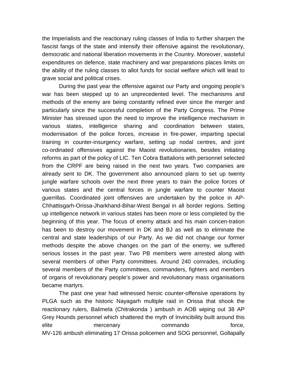the Imperialists and the reactionary ruling classes of India to further sharpen the fascist fangs of the state and intensify their offensive against the revolutionary, democratic and national liberation movements in the Country. Moreover, wasteful expenditures on defence, state machinery and war preparations places limits on the ability of the ruling classes to allot funds for social welfare which will lead to grave social and political crises.

During the past year the offensive against our Party and ongoing people's war has been stepped up to an unprecedented level. The mechanisms and methods of the enemy are being constantly refined ever since the merger and particularly since the successful completion of the Party Congress. The Prime Minister has stressed upon the need to improve the intelligence mechanism in various states, intelligence sharing and coordination between states, modernisation of the police forces, increase in fire-power, imparting special training in counter-insurgency warfare, setting up nodal centres, and joint co-ordinated offensives against the Maoist revolutionaries, besides initiating reforms as part of the policy of LIC. Ten Cobra Battalions with personnel selected from the CRPF are being raised in the next two years. Two companies are already sent to DK. The government also announced plans to set up twenty jungle warfare schools over the next three years to train the police forces of various states and the central forces in jungle warfare to counter Maoist guerrillas. Coordinated joint offensives are undertaken by the police in AP-Chhattisgarh-Orissa-Jharkhand-Bihar-West Bengal in all border regions. Setting up intelligence network in various states has been more or less completed by the beginning of this year. The focus of enemy attack and his main concen-tration has been to destroy our movement in DK and BJ as well as to eliminate the central and state leaderships of our Party. As we did not change our former methods despite the above changes on the part of the enemy, we suffered serious losses in the past year. Two PB members were arrested along with several members of other Party committees. Around 240 comrades, including several members of the Party committees, commanders, fighters and members of organs of revolutionary people's power and revolutionary mass organisations became martyrs.

The past one year had witnessed heroic counter-offensive operations by PLGA such as the historic Nayagarh multiple raid in Orissa that shook the reactionary rulers, Balimela (Chitrakonda ) ambush in AOB wiping out 38 AP Grey Hounds personnel which shattered the myth of Invincibility built around this elite mercenary commando force, MV-126 ambush eliminating 17 Orissa policemen and SOG personnel, Gollapally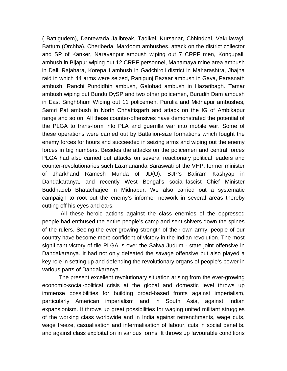( Battigudem), Dantewada Jailbreak, Tadikel, Kursanar, Chhindpal, Vakulavayi, Battum (Orchha), Cheribeda, Mardoom ambushes, attack on the district collector and SP of Kanker, Narayanpur ambush wiping out 7 CRPF men, Kongupalli ambush in Bijapur wiping out 12 CRPF personnel, Mahamaya mine area ambush in Dalli Rajahara, Korepalli ambush in Gadchiroli district in Maharashtra, Jhajha raid in which 44 arms were seized, Ranigunj Bazaar ambush in Gaya, Parasnath ambush, Ranchi Pundidhin ambush, Galobad ambush in Hazaribagh. Tamar ambush wiping out Bundu DySP and two other policemen, Burudih Dam ambush in East Singhbhum Wiping out 11 policemen, Purulia and Midnapur ambushes, Samri Pat ambush in North Chhattisgarh and attack on the IG of Ambikapur range and so on. All these counter-offensives have demonstrated the potential of the PLGA to trans-form into PLA and guerrilla war into mobile war. Some of these operations were carried out by Battalion-size formations which fought the enemy forces for hours and succeeded in seizing arms and wiping out the enemy forces in big numbers. Besides the attacks on the policemen and central forces PLGA had also carried out attacks on several reactionary political leaders and counter-revolutionaries such Laxmananda Saraswati of the VHP, former minister of Jharkhand Ramesh Munda of JD(U), BJP's Baliram Kashyap in Dandakaranya, and recently West Bengal's social-fascist Chief Minister Buddhadeb Bhatacharjee in Midnapur. We also carried out a systematic campaign to root out the enemy's informer network in several areas thereby cutting off his eyes and ears.

All these heroic actions against the class enemies of the oppressed people had enthused the entire people's camp and sent shivers down the spines of the rulers. Seeing the ever-growing strength of their own army, people of our country have become more confident of victory in the Indian revolution. The most significant victory of tile PLGA is over the Salwa Judum - state joint offensive in Dandakaranya. It had not only defeated the savage offensive but also played a key role in setting up and defending the revolutionary organs of people's power in various parts of Dandakaranya.

The present excellent revolutionary situation arising from the ever-growing economic-social-political crisis at the global and domestic level throws up immense possibilities for building broad-based fronts against imperialism, particularly American imperialism and in South Asia, against Indian expansionism. It throws up great possibilities for waging united militant struggles of the working class worldwide and in India against retrenchments, wage cuts, wage freeze, casualisation and infermalisation of labour, cuts in social benefits. and against class exploitation in various forms. It throws up favourable conditions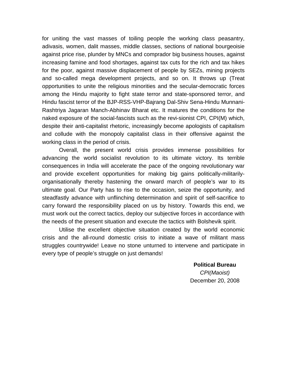for uniting the vast masses of toiling people the working class peasantry, adivasis, women, dalit masses, middle classes, sections of national bourgeoisie against price rise, plunder by MNCs and comprador big business houses, against increasing famine and food shortages, against tax cuts for the rich and tax hikes for the poor, against massive displacement of people by SEZs, mining projects and so-called mega development projects, and so on. It throws up (Treat opportunities to unite the religious minorities and the secular-democratic forces among the Hindu majority to fight state terror and state-sponsored terror, and Hindu fascist terror of the BJP-RSS-VHP-Bajrang Dal-Shiv Sena-Hindu Munnani-Rashtriya Jagaran Manch-Abhinav Bharat etc. It matures the conditions for the naked exposure of the social-fascists such as the revi-sionist CPI, CPI(M) which, despite their anti-capitalist rhetoric, increasingly become apologists of capitalism and collude with the monopoly capitalist class in their offensive against the working class in the period of crisis.

Overall, the present world crisis provides immense possibilities for advancing the world socialist revolution to its ultimate victory. Its terrible consequences in India will accelerate the pace of the ongoing revolutionary war and provide excellent opportunities for making big gains politically-militarilyorganisationally thereby hastening the onward march of people's war to its ultimate goal. Our Party has to rise to the occasion, seize the opportunity, and steadfastly advance with unflinching determination and spirit of self-sacrifice to carry forward the responsibility placed on us by history. Towards this end, we must work out the correct tactics, deploy our subjective forces in accordance with the needs of the present situation and execute the tactics with Bolshevik spirit.

Utilise the excellent objective situation created by the world economic crisis and the all-round domestic crisis to initiate a wave of militant mass struggles countrywide! Leave no stone unturned to intervene and participate in every type of people's struggle on just demands!

**Political Bureau**

*CPI(Maoist)* December 20, 2008